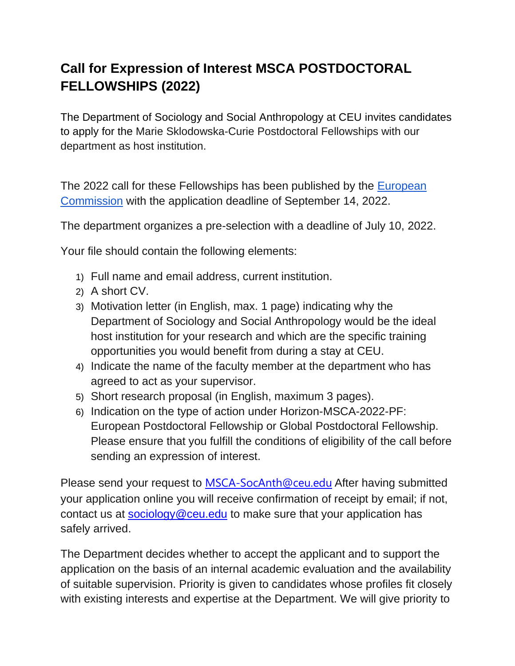## **Call for Expression of Interest MSCA POSTDOCTORAL FELLOWSHIPS (2022)**

The Department of Sociology and Social Anthropology at CEU invites candidates to apply for the Marie Sklodowska-Curie Postdoctoral Fellowships with our department as host institution.

The 2022 call for these Fellowships has been published by the [European](https://ec.europa.eu/info/funding-tenders/opportunities/portal/screen/opportunities/topic-details/horizon-msca-2022-pf-01-01;callCode=null;freeTextSearchKeyword=;matchWholeText=true;typeCodes=1;statusCodes=31094501,31094502;programmePeriod=2021%20-%202027;programCcm2Id=43108390;programDivisionCode=43108473;focusAreaCode=null;destination=null;mission=null;geographicalZonesCode=null;programmeDivisionProspect=null;startDateLte=null;startDateGte=null;crossCuttingPriorityCode=null;cpvCode=null;performanceOfDelivery=null;sortQuery=sortStatus;orderBy=asc;onlyTenders=false;topicListKey=topicSearchTablePageStateved=0)  [Commission](https://ec.europa.eu/info/funding-tenders/opportunities/portal/screen/opportunities/topic-details/horizon-msca-2022-pf-01-01;callCode=null;freeTextSearchKeyword=;matchWholeText=true;typeCodes=1;statusCodes=31094501,31094502;programmePeriod=2021%20-%202027;programCcm2Id=43108390;programDivisionCode=43108473;focusAreaCode=null;destination=null;mission=null;geographicalZonesCode=null;programmeDivisionProspect=null;startDateLte=null;startDateGte=null;crossCuttingPriorityCode=null;cpvCode=null;performanceOfDelivery=null;sortQuery=sortStatus;orderBy=asc;onlyTenders=false;topicListKey=topicSearchTablePageStateved=0) with the application deadline of September 14, 2022.

The department organizes a pre-selection with a deadline of July 10, 2022.

Your file should contain the following elements:

- 1) Full name and email address, current institution.
- 2) A short CV.
- 3) Motivation letter (in English, max. 1 page) indicating why the Department of Sociology and Social Anthropology would be the ideal host institution for your research and which are the specific training opportunities you would benefit from during a stay at CEU.
- 4) Indicate the name of the faculty member at the department who has agreed to act as your supervisor.
- 5) Short research proposal (in English, maximum 3 pages).
- 6) Indication on the type of action under Horizon-MSCA-2022-PF: European Postdoctoral Fellowship or Global Postdoctoral Fellowship. Please ensure that you fulfill the conditions of eligibility of the call before sending an expression of interest.

Please send your request to [MSCA-SocAnth@ceu.edu](mailto:MSCA-SocAnth@ceu.edu) After having submitted your application online you will receive confirmation of receipt by email; if not, contact us at [sociology@ceu.edu](mailto:sociology@ceu.edu) to make sure that your application has safely arrived.

The Department decides whether to accept the applicant and to support the application on the basis of an internal academic evaluation and the availability of suitable supervision. Priority is given to candidates whose profiles fit closely with existing interests and expertise at the Department. We will give priority to